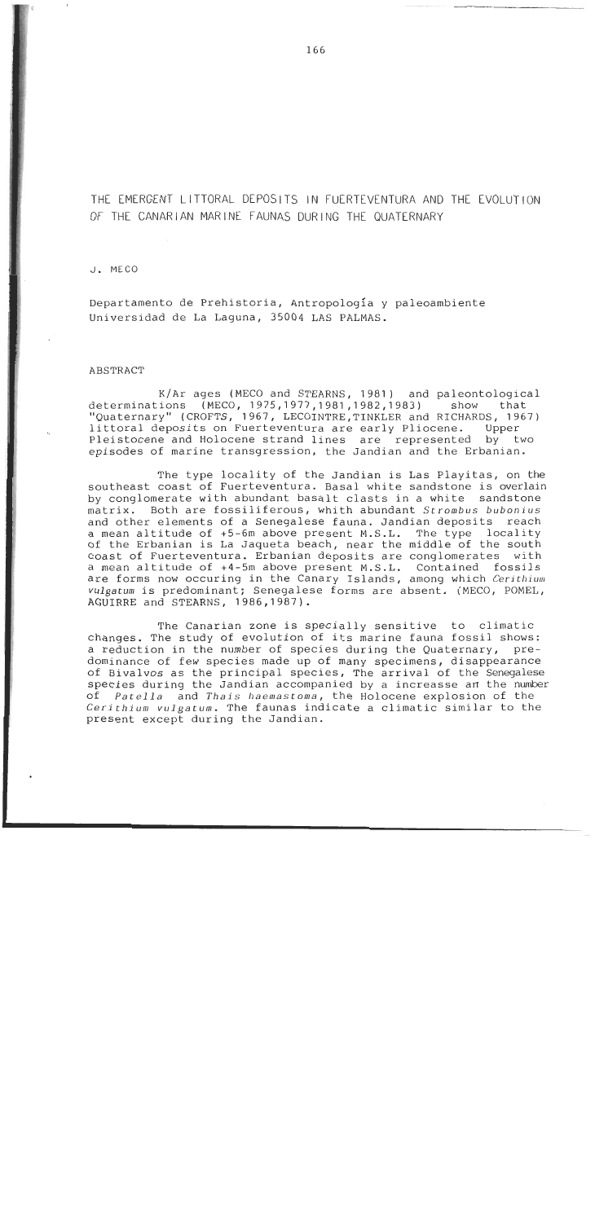THE EMERGENT LITTORAL DEPOSITS IN FUERTEVENTURA AND THE EVOLUTION OF THE CANARIAN MARINE FAUNAS DURING THE QUATERNARY

#### J. MECO

Departamento de Prehistoria, Antropología y paleoambiente Universidad de La Laguna, 35004 LAS PALMAS.

### ABSTRACT

K/Ar ages (MECO and STEARNS, 1981) and paleontological determinations (MECO, 1975, 1977, 1981, 1982, 1983) show that "Quaternary" (CROFTS, 1967, LECOINTRE, TINKLER and RICHARDS, 1967)<br>littoral deposits on Fuerteventura are early Pliocene. Upper littoral deposits on Fuerteventura are early Pliocene. Pleistocene and Holocene strand lines are represented by two episodes of marine transgression, the Jandian and the Erbanian.

The type locality of the Jandian is Las Playitas, on the southeast coast of Fuerteventura. Basa1 white sandstone is overlain by conglomerate with abundant basalt clasts in a white sandstone matrix. Both are fossiliferous, whith abundant Strombus bubonius and other elements of a Senegalese fauna. Jandian deposits reach a mean altitude of +5-6m above present M.S.L. The type locality of the Erbanian is La Jaqueta beach, near the middle of the south coast of Fuerteventura. Erbanian deposits are conglomerates with a mean altitude of +4-5m above present M.S.L. Contained fossils are forms now occuring in the Canary Islands, among which Cerithium vulgatum is predominant; Senegalese forms are absent. (MECO, POMEL, AGUIRRE and STEARNS, 1986,1987).

The Canarian zone is specially sensitive to climatic changes. The study of evolution of its marine fauna fossil shows: a reduction in the number of species during the Quaternary, predominance of few species made up of many specimens, disappearance of Bivalvos as the principal species, The arrival of the Senegalese species during the Jandian accompanied by a increasse an the number of Patella and Thais haemastoma, the Holocene explosion of the Cerithium vulgatum. The faunas indicate a climatic similar to the present except during the Jandian.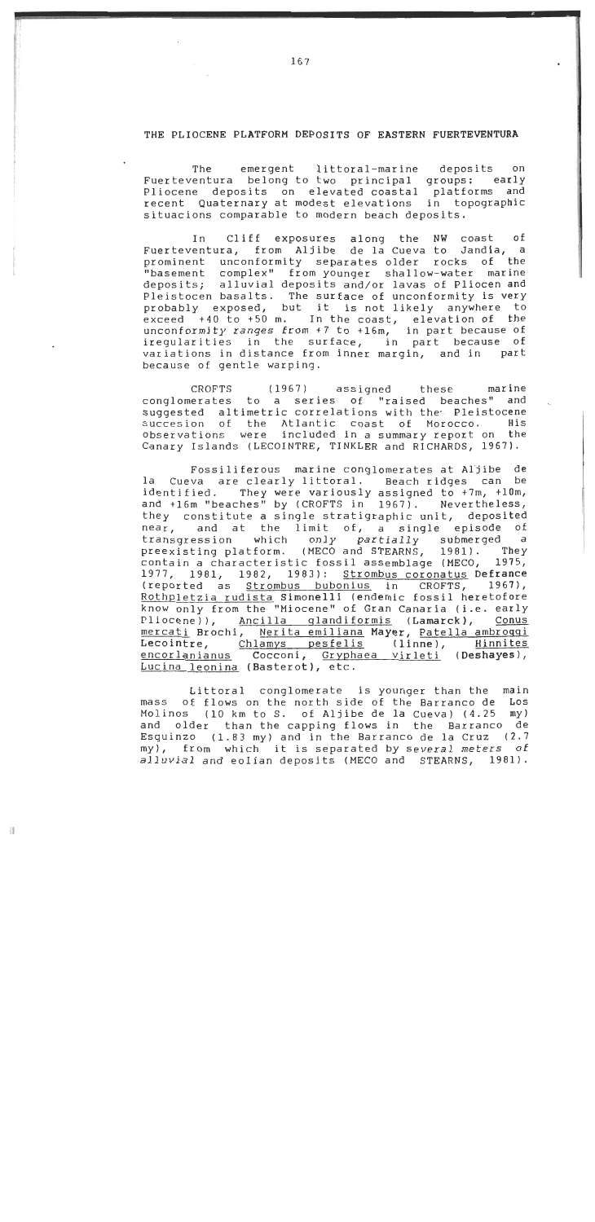### THE PLIOCENE PLATFORM DEPOSITS OF EASTERN FUERTEVENTURA

The emergent littoral-marine deposits on Fuerteventura belong to two principal groups: early<br>Pliocene deposits on elevated coastal platforms and Pliocene deposits on elevated coastal recent Quaternary at modest elevations in topographic situacions comparable to modern beach deposits.

In Cliff exposures along the NW coast **o£**  Fuerteventura, from Aljibe de la Cueva to Jandla, a prominent unconformity separates older rocks o£ the "basement complex" from younger shallow-water marine deposits; alluvial deposits and/or lavas of Pliocen and Pleistocen basalts. The surface of unconformity is very probably exposed, but it is not likely anywhere to exceed +40 to +50 m. In the coast, elevation of the unconformity ranges from  $+7$  to  $+16$ m, in part because of iregularities in the surface, in part because of variations in distance from inner margin, and in part because o£ gentle warping.

CROFTS (1967) assigned these marine conglomerates to a series of "raised beaches" and suggested altimetric correlations with the Pleistocene succesion o£ the Atlantic coast of Morocco. His observations were included in a summary report on the Canary Islands (LECOINTRE, TINKLER and RICHARDS, 1967).

Fossiliferous marine conglomerates at Aljibe de la Cueva are clearly littoral. Beach ridges can be identified. They were variously assigned to +7m, +10m, and t16m "beaches" by (CROFTS in 1967). Nevertheless, they constitute a single stratigraphic unit, deposited near, and at the limit of, a single episode of<br>transgression which only partially submerged a transgression which only partially submerged preexisting platform. (MECO and STEARNS, 1981). They contain a characteristic fossil assemblage (MECO, 1975, 1977, 1981, 1982, 1983): Strombus coronatus Defrance<br>(reported as Strombus bubonius in CROFTS, 1967), (reported as Strombus bubonius in Rothpletzia rudista Simonelli (endemic fossil heretofore know only from the "Miocene" of Gran Canaria (i.e. early Pliocene)), Ancilla qlandiformis (Lamarck), Conus mercati Brochi, Nerita emiliana Mayer, Patella ambroqqi Lecointre, <u>Chlamys pesfelis</u> (linne), <u>Hinnites</u> en<u>corlanianus</u> Cocconi, <u>Gryphaea virleti</u> (De**shayes**), Lucina leonina (Basterot), etc.

Littoral conglomerate is younger than the main mass of flows on the north side of the Barranco de Los Molinos (10 km to S. of Aljibe de la Cueva) (4.25 my) and older than the capping flows in the Barranco de Esquinzo (1.83 my) and in the Barranco de la Cruz (2.7 my), from which it is separated by severa1 meters of alluvial and eolian deposits (MECO and STEARNS, 1981).

课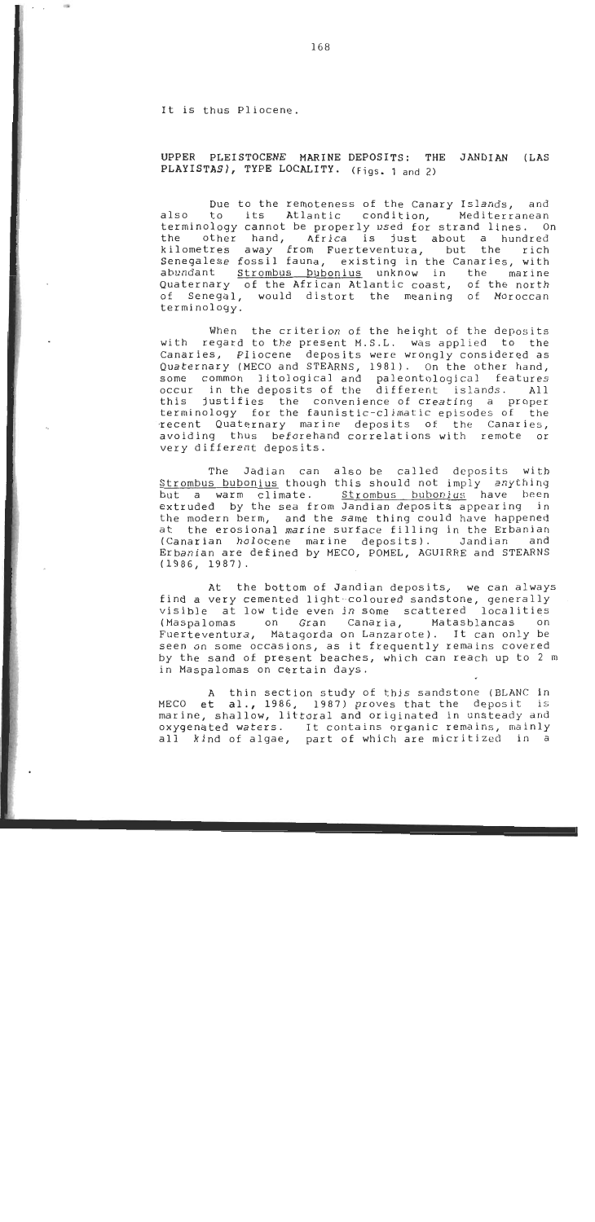It is thus Pliocene.

 $\sigma_{\rm{max}}$ 

 $-100$ 

UPPER PLEISTOCENE MARINE DEPOSITS: THE JANDIAN (LAS PLAYISTAS), TYPE LOCALITY. (Figs. 1 and 2)

Due to the remoteness of the Canary Islands, and also to its Atlantic condition, Mediterranean terminology cannot be properly used for strand lines. On the other hand, Africa is just about a hundred kilometres away from Fuerteventura, but the rich Senegalese fossil fauna, existing in the Canaries, with abundant Strombus bubonius unknow in the marine Quaternary of the African Atlantic coast, of the north o£ Senegal, would distort the meaning o£ Moroccan termi nology.

with regard to the present M.S.L. was applied to the Canaries, Pliocene deposits were wrongly considered as When the criterion of the height of the deposits Quaternary (MECO and STEARNS, 1981). On the other hand, some common litological and paleontological features<br>occur in the deposits of the different islands. All occur in the deposits of the different islands. this justifies the convenience o£ creating a proper terminology for the faunistic-climatic episodes o£ the -recent Quaternary marine deposits of the Canaries, avoiding thus beforehand correlations with remote or very different deposits.

avoiding thus beforehand correlations with remote or<br>
very different deposits.<br>
The Jadian can also be called deposits with<br>
<u>Strombus bubonius</u> though this should not imply anything<br>
but a warm climate. <u>Strombus bubonius</u> The Jadian can also be called deposits with Strombus bubonius though this should not imply anything extruded by the sea from Jandian deposits appearing in the modern berm, and the same thing could have happened at the erosional marine surface filling in the Erbanian (Canarian holocene marine deposits). Jandian and Erbanian are defined by MECO, POMEL, AGUIRRE and STEARNS (1986, 1987).

At the bottom of Jandian deposits, we can always find a very cemented light-coloured sandstone, generally visible at low tide even in some scattered localities<br>(Maspalomas on Gran Canaria, Matasblancas on Matasblancas Fuerteventura, Mataqorda on Lanzarote). It can only be seen on some occasions, as it frequently remains covered by the sand of present beaches, which can reach up to 2 m in Maspalomas on certain days.

**A** thin section study o£ this sandstone (BLANC in MECO **et** al., 1986, 1987) proves that the deposit is marine, shallow, littoral and originated in unsteady **and**  oxygenated waters. **1** t contains organic remains, mainly al1 kind o£ algae, part o£ which are micritized in a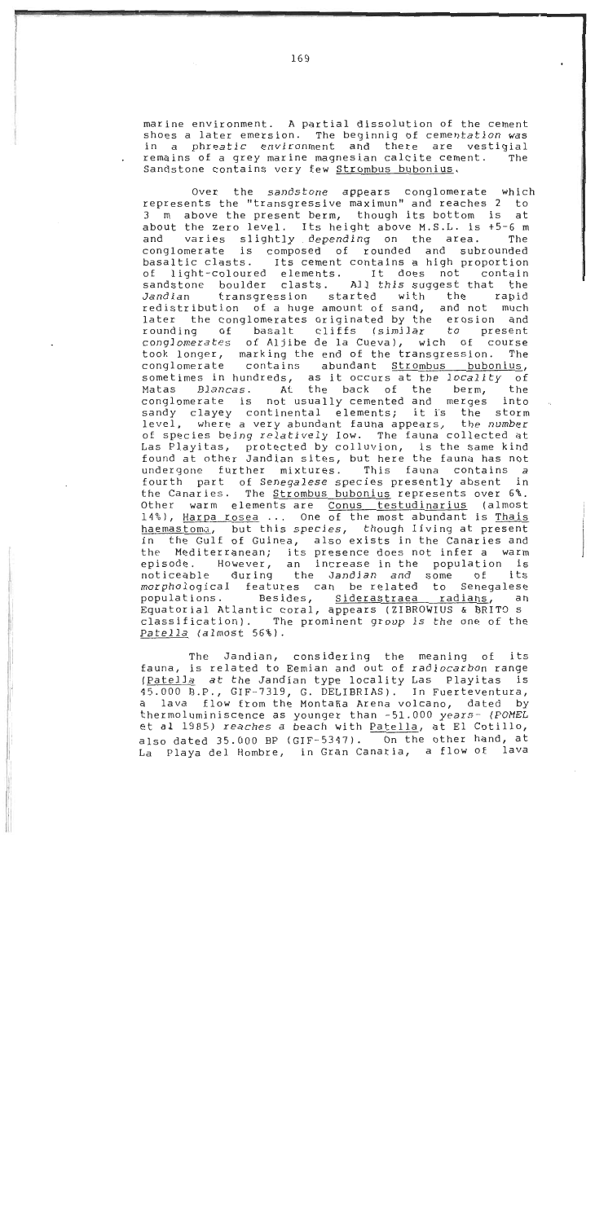marine environment. A partial dissolution o£ the cement shoes a later emersion. The beginnig of cementation was<br>in a phreatic environment and there are vestigial in a phreatic environment and there are vestigial<br>remains of a grey marine magnesian-calcite-cement. The remains of a grey marine magnesian calcite cement. Sandstone contains very few Strombus bubonius.

Over the sandstone appears conglomerate which represents the "transgressive maximunl1 and reaches **2** to 3 m above the present berm, though its bottom is at about the zero level. Its height above M.S.L. is +5-6 m<br>and varies slightly depending on the area. The varies slightly depending on the area. conglomerate is composed of rounded and subrounded basaltic clasts. Its cement contains a high proportion<br>of light-coloured elements. It does not contain light-coloured elements. It does not contain<br>stone boulder clasts. All this-suggest-that the sandstone boulder clasts. Al1 this suggest that the transgression started redistribution o£ a huge amount of sand, and not much later the conglomerates originated by the erosion and<br>rounding of basalt cliffs (similar to present cliffs (similar to present<br>de la Cueva), wich of course conglomerates of Aljibe de la Cueva), wich o£ course took longer, marking the end of the transgression. conglomerate contains abundant Strombus bubonius, sometimes in hundreds, as it occurs at the locality of<br>Matas Blancas. At the back of the berm, the At the back of the berm, the<br>ot usually cemented and merges into conglomerate is not usually cemented and merges sandy clayey continental elements; it is the storm level, where a very abundant fauna appears, the number of species being relatively low. The fauna collected at Las Playitas, protected by colluvion, is the same kind found at other Jandian sites, but here the fauna has not<br>undergone further mixtures. This fauna contains a undergone further mixtures. fourth part of Senegalese species presently absent in the Canaries. The **Strombus bubonius** represents over 6%. Other warm elements are Conus testudinarius (almost 14%), Harpa rosea ... One of the most abundant is Thais haemastoma, but this species, though living at present in the Gulf of Guinea, also exists in the Canaries and the Mediterranean; its presence does not infer a warm However, an increase in the population is<br>during the Jandian and some of its noticeable during the Jandian and some morphological features can be-related to Senegalese<br>populations. Besides, <u>Siderastraea radians</u>, an Besides, Siderastraea Equatorial Atlantic coral, appears (ZIBROWIUS & BRIT9 S classification). The prominent group is the one o£ the Patella (almost 56%).

The Jandian, considering the meaning of its fauna, is related to Eemian and out o£ radiocarbon range (Patella at the Jandian type locality Las Playitas 45.000 B.P., GIF-7319, G. DELIBRIAS). Tn Fuerteventura, a lava flow from the Montaña Arena volcano, dated by thermoluminiscence as younger than -51.000 years- (POMEL et **al 1985)** reaches a beach with Patella, at El Cotillo, also dated 35.000 BF (GIF-5347). On the other hand, at La Playa del Hombre, in Gran Canaria, a flow o£ lava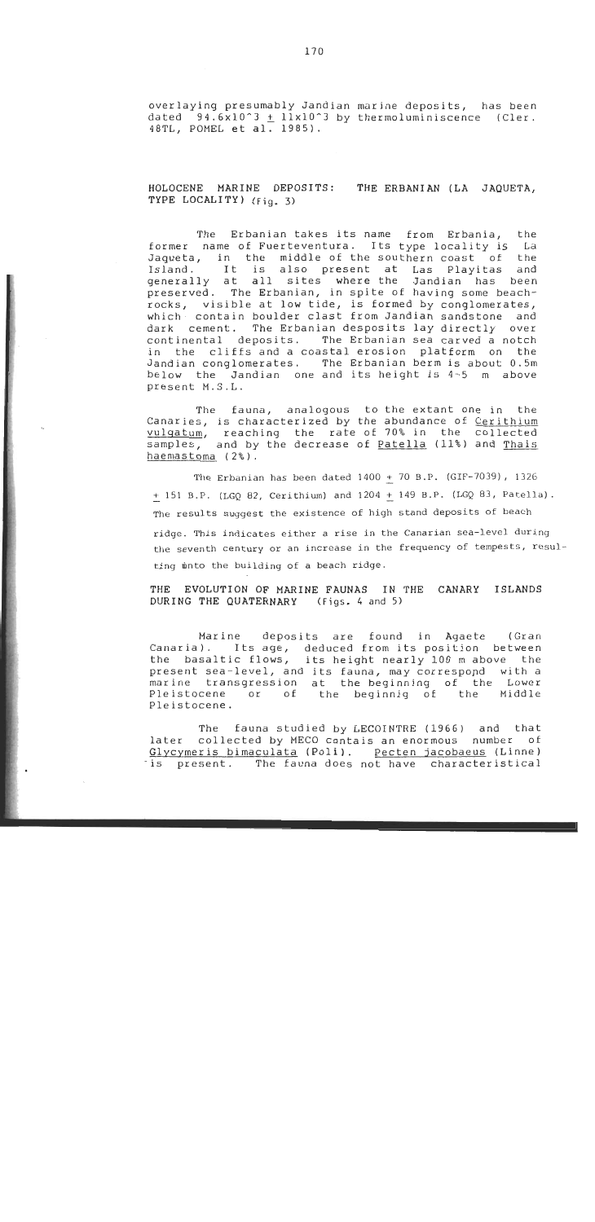overlaying presumably Jandian marine deposits, has been dated 94.6x10^3  $\pm$  11x10^3 by thermoluminiscence (Cler. 48TL, POMEL et al. 1985).

## HOLOCENE MARINE DEPOSITS: THE ERBANIAN (LA JAQUETA, TYPE LOCALITY) (Fig. **3)**

The Erbanian takes its name from Erbania, the former name of Fuerteventura. Its type locality is La Jaqueta, in the middle of the southern coast of the<br>Island. It is also present at Las Playitas and It is also present at Las Playitas and generally at all sites where the Jandian has been preserved. The Erbanian, in spite o£ having some beachrocks, visible at low tide, is formed by conglomerates, which contain boulder clast from Jandian sandstone and dark cement. The Erbanian desposits lay directly over<br>continental deposits. The Erbanian sea carved a notch The Erbanian sea carved a notch in the cliffs and a coastal erosion platform on the Jandian conglomerates. The Erbanian berm is about 0.5m below the Jandian one and its height is 4-5 m above present M.S.L.

The fauna, analogous to the extant one in the Canaries, is characterized by the abundance of Cerithium vulgatum, reaching the rate-of-70% in the collected samples, and by the decrease of <u>Patella</u> (11%) and <u>Thais</u> haemastoma (2%).

The Erbanian has been dated  $1400 + 70$  B.P. (GIF-7039),  $1326$ + 151 B.P. (LGQ 82, Cerithium) and 1204 + 149 B.P. (LGQ 83, Patella). The results suggest the existence of high stand deposits of beach ridge. This indicates either a rise in the Canarian sea-level during the seventh century or an increase in the frequency of tempests, resulting mnto the building of a beach ridge.

THE EVOLUTION OF MARINE FAUNAS IN THE CANARY ISLANDS DURING THE QUATERNARY **(Figs.** 4 **and 5)** 

Marine deposits are found in Agaete (Gran Canaria). Its age, deduced from its position between the basaltic flows, its height nearly 100 m above the present sea-level, and its fauna, may correspopd with a marine transgression at the beginning of the Lower<br>Pleistocene or of the beginnig of the Middle Pleistocene or of the beginnig of Pleistocene.

The fauna studied by LECOINTRE (1966) and that later collected by MECO contais an enormous number of Glycymeris bimaculata (Poli). Pecten jacobaeus (Linne) -is present. The fauna does not have characteristical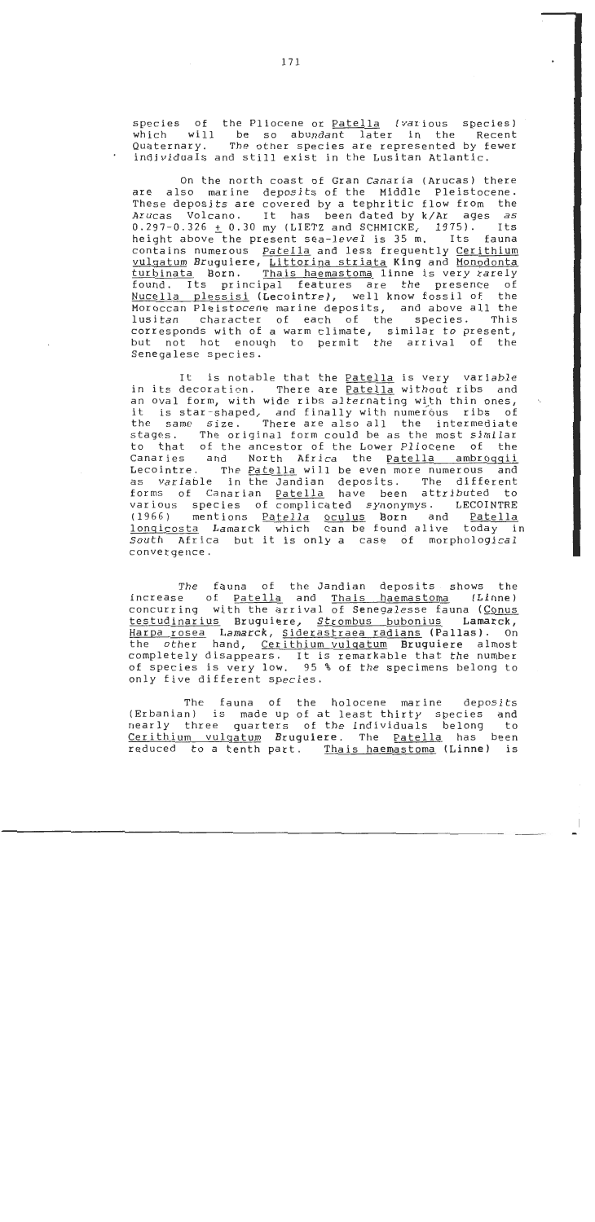species o£ the Pliocene or Patella (various species) which will be so abundant later in the Recent Quaternary. The other species are represented by fewer individuals and still exist in the Lusitan Atlantic.

On the north coast of Gran Canaria (Arucas) there are also marine deposits of the Middle Pleistocene. These deposits are covered by a tephritic flow from the Arucas Volcano. It has been dated by k/Ar ages as  $0.297 - 0.326 \pm 0.30$  my (LIETZ and SCHMICKE, 1975). Its height above the present sea-level is 35 m. Its fauna contains numerous Patella and less frequently Cerithium vulgatum Bruguiere, <u>Littorina striata</u> King and <u>Monodonta</u><br>turbinata Born. Thais haemastoma linne is very rarely Thais haemastoma linne is very rarely found. Its principal features are the presence of Nucella plessisi (Lecointre), well know fossil of the Moroccan Pleistocene marine deposits, and above all the<br>lusitan character of each of the species. This character of each of the corresponds with o£ a warm climate, similar to present, but not hot enough to permit the arrival of the Senegalese species .

It is notable that the Patella is very variable in its decoration. There are Patella without ribs and an oval form, with wide ribs alternating with thin ones, it is star-shaped, and finally with numerous ribs of the same size. There are also al1 the intermediate stages. The original form could be as the most similar to that of the ancestor o£ the Lower Pliocene o£ the Canaries and North Africa the Patella ambroqqii Lecointre. The Patella will be even more numerous and as variable in the Jandian deposits. The different forms of Canarian Patella have been attributed to various species o£ complicated synonymys. LECOINTRE (1966) mentions <u>Patella</u> <u>oculus</u> <mark>Born</mark> and <u>Patella</u> lonqicosta Lamarck which can be found alive today in South Africa but it is only a case of morphological convergence.

The fauna of the Jandian deposits shows the increase of <u>Patella</u> and <u>Thais haemastoma</u> (Linn**e**) concurring with the arrival of Senegalesse fauna (Conus testudinarius Bruquiere, Strombus bubonius Lamarck, Harpa rosea Lamarck, Siderastraea radians (Palias). On other hand, Cerithium vulqatum Bruguiere almost completely disappears. It is remarkable that the number o£ species is very low. 95 % o£ the specimens belong to only five different species.

The fauna of the holocene marine deposits (Erbanian) is made up of at least thirty species and<br>nearly three quarters of the individuals belong to nearly three quarters of the individuals belong Cerithium vulgatum Bruguiere. The Patella has been reduced to a tenth part. Thais haemastoma (Linne) is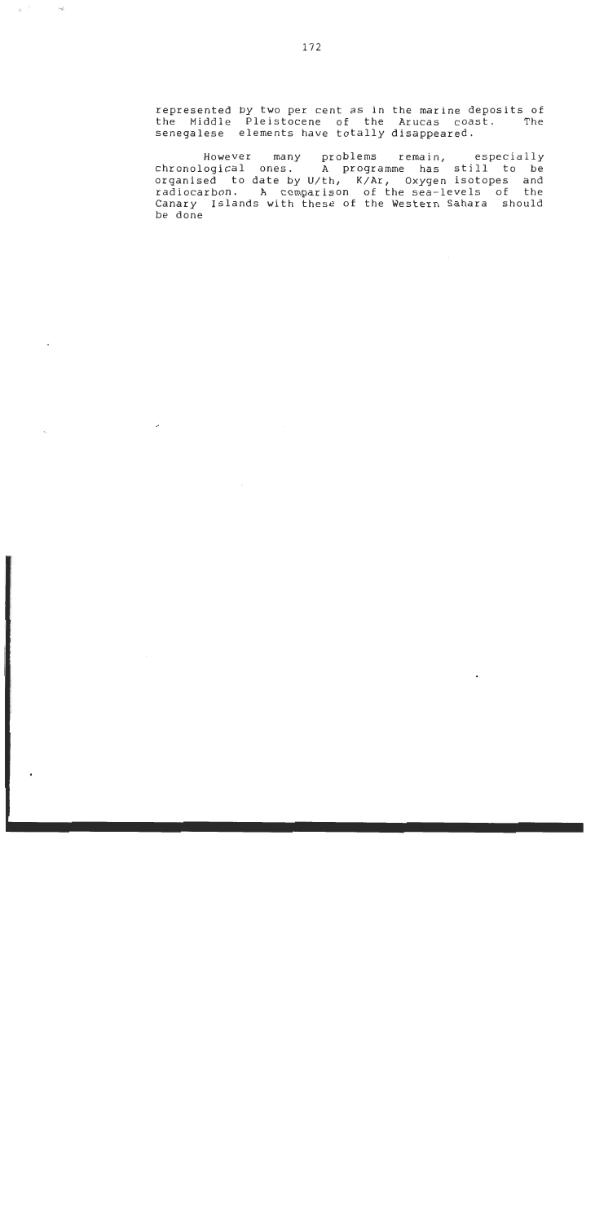represented by two per cent as in the marine deposits o£ the Middle Pleistocene **o£** the Arucas coast. The senegalese elements have totally disappeared.

However many problems remain, especially chronological ones. A programme has still to be organised to date by U/th, K/Ar, Oxygen isotopes and radiocarbon. **A** comparison o£ the sea-levels o£ the Canary Islands with these o£ the Western Sahara should be done

 $\sim$   $^{-18}$ 

 $\sim$ 

 $\ddot{\phantom{a}}$ 

 $\overline{a}$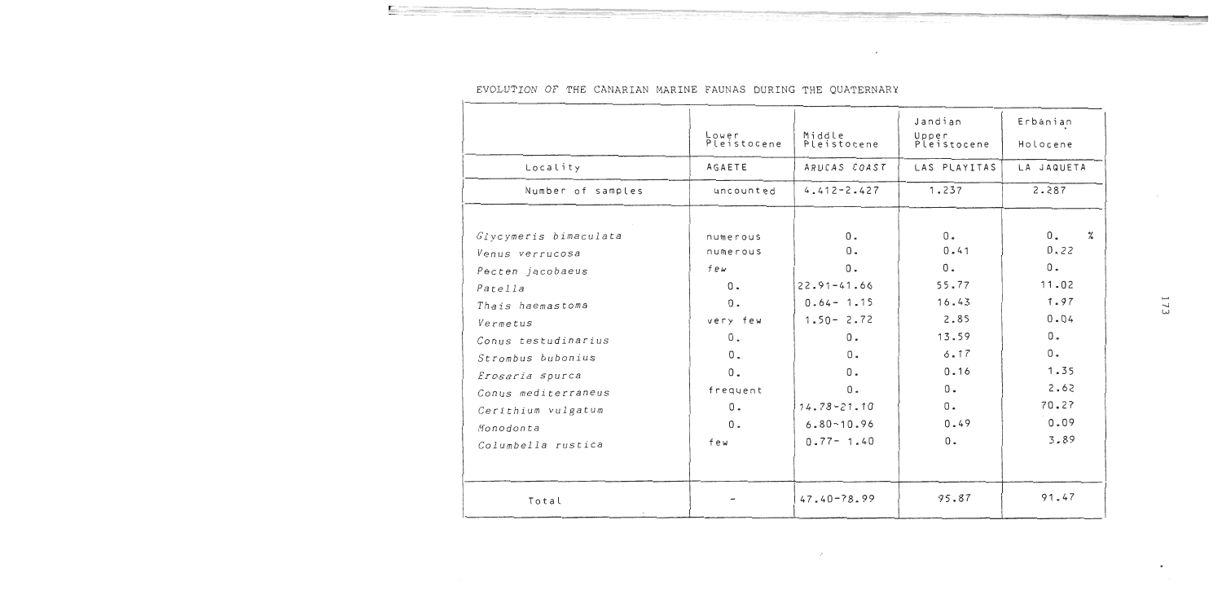|                                          | Lower<br>Pleistocene | Middle<br>Pleistocene | Jandian<br>Upper<br>Pleistocene | Erbanian<br>Holocene        |
|------------------------------------------|----------------------|-----------------------|---------------------------------|-----------------------------|
| Locality                                 | AGAETE               | ARUCAS COAST          | LAS PLAYITAS                    | LA JAQUETA                  |
| Number of samples                        | uncounted            | $4.412 - 2.427$       | 1.237                           | 2.287                       |
| Glycymeris bimaculata<br>Venus verrucosa | numerous<br>numerous | $0$ .<br>$0$ .        | 0.<br>0.41                      | 0.<br>$\frac{9}{4}$<br>0.22 |
| Pecten jacobaeus                         | few                  | $0$ .                 | 0.                              | $0$ .                       |
| Patella                                  | 0.                   | $22.91 - 41.66$       | 55.77                           | 11.02                       |
| Thais haemastoma                         | 0.                   | $0.64 - 1.15$         | 16.43                           | 1.97                        |
| Vermetus                                 | very few             | $1.50 - 2.72$         | 2.85                            | 0.04                        |
| Conus testudinarius                      | $0$ .                | 0.                    | 13.59                           | 0.                          |
| Strombus bubonius                        | $0$ .                | $0$ .                 | 6.17                            | 0.                          |
| Erosaria spurca                          | $0 -$                | 0.                    | 0.16                            | 1.35                        |
| Conus mediterraneus                      | frequent             | $0$ .                 | $0 -$                           | 2.62                        |
| Cerithium vulgatum                       | $0 -$                | $14.78 - 21.10$       | $0$ .                           | 70.27                       |
| Monodonta                                | $0$ .                | $6.80 - 10.96$        | 0.49                            | 0.09                        |
| Columbella rustica                       | few                  | $0.77 - 1.40$         | 0.                              | 3.89                        |
| Total                                    |                      | $47.40 - 78.99$       | 95.87                           | 91.47                       |

 $\mathcal{L}^{\pm}$ 

# EVOLUTION OF THE CANARIAN MARINE FAUNAS DURING THE QUATERNARY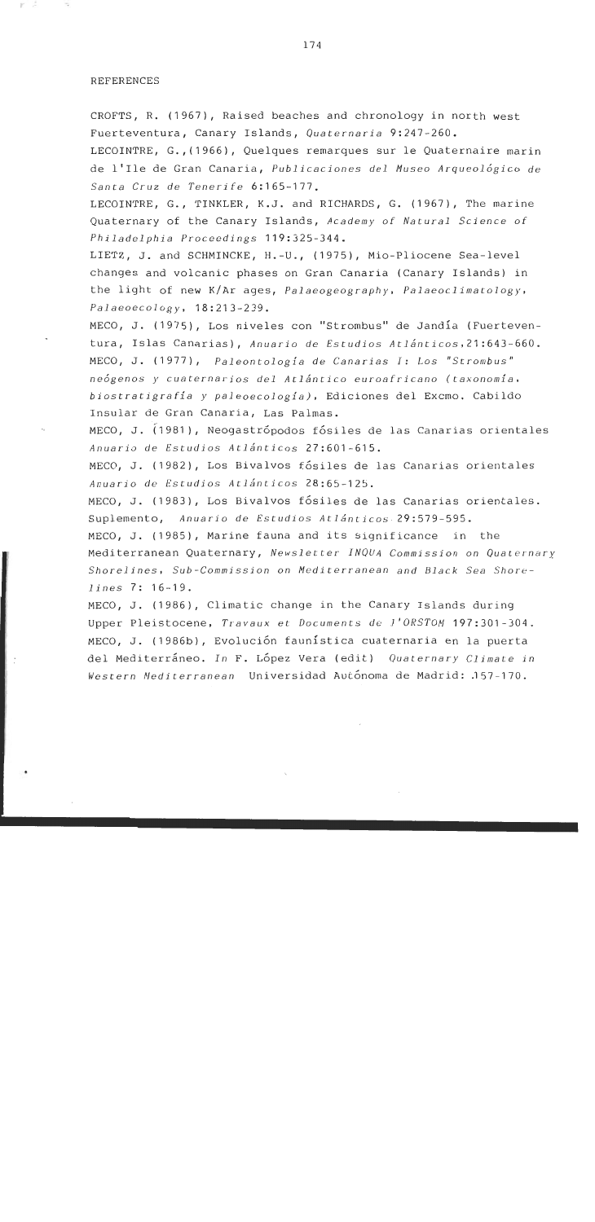### REFERENCES

CROFTS, R. (1967), Raised beaches and chronology in north west Fuerteventura, Canary Islands, Ouaternaria 9:247-260.

LECOINTRE, G.,(1966), Quelques remarques sur le Quaternaire marin de 1'Ile de Gran Canaria, Publicaciones del Museo Arqueológico de Santa Cruz de Tenerife 6:165-177.

LECOINTRE, G., TINKLER, K.J. and RICHARDS, G. (1967), The marine Quaternary of the Canary Islands, Academy of Natural Science of Philadelphia Proceedings 119:325-344.

LIETZ, J. and SCHMINCKE, H.-U., (1975), Mio-Pliocene Sea-leve1 changes and volcanic phases on Gran Canaria (Canary Islands) in the light of new K/Ar ages, Palaeogeography, Palaeoclimatology, Palaeoecology, l8:213-239.

MECO, J. (1975), Los niveles con "Strombus" de Jandía (Fuerteventura, Islas Canarias), Anuario de Estudios Atlánticos,21:643-660. MECO, J. (1977), Paleontologfa de Canarias *1:* Los "Strombus" neÓgenos y cuaternarios del Atlántico euroafricano (taxonomía. biostratigrafia y paleoecologia), Ediciones del Excmo. Cabildo Insular de Gran Canaria, Las Palmas.

MECO, J. (1981), Neogastrópodos fósiles de las Canarias orientales Anuario de Estudios Atlánticos 27:601-615.

MECO, J. (1982), Los Bivalvos fósiles de las Canarias orientales Anuario de Estudios Atlánticos 28:65-125.

MECO, J. (1983), Los Bivalvos fósiles de las Canarias orientales. Suplemento, Anuario de Estudios Atlánticos 29:579-595.

MECO, J. (1985), Marine fauna and its significance in the Mediterranean Quaternary, Newsletter INOUA Commission on Ouaternary Shorelines, Sub-Commission on Mediterranean and Black Sea Shorelines 7: 16-19.

MECO, J. (1986), Climatic change in the Canary Islands during Upper Pleistocene, Travaux et Documents de I'OKSTOM 197:301-304. MECO, J. (1986b), Evolución faunística cuaternaria en la puerta del Mediterráneo. In F. López Vera (edit) Quaternary Climate in ldestern Nedi terranean Universidad Autónoma de Madrid: .l57-l7O.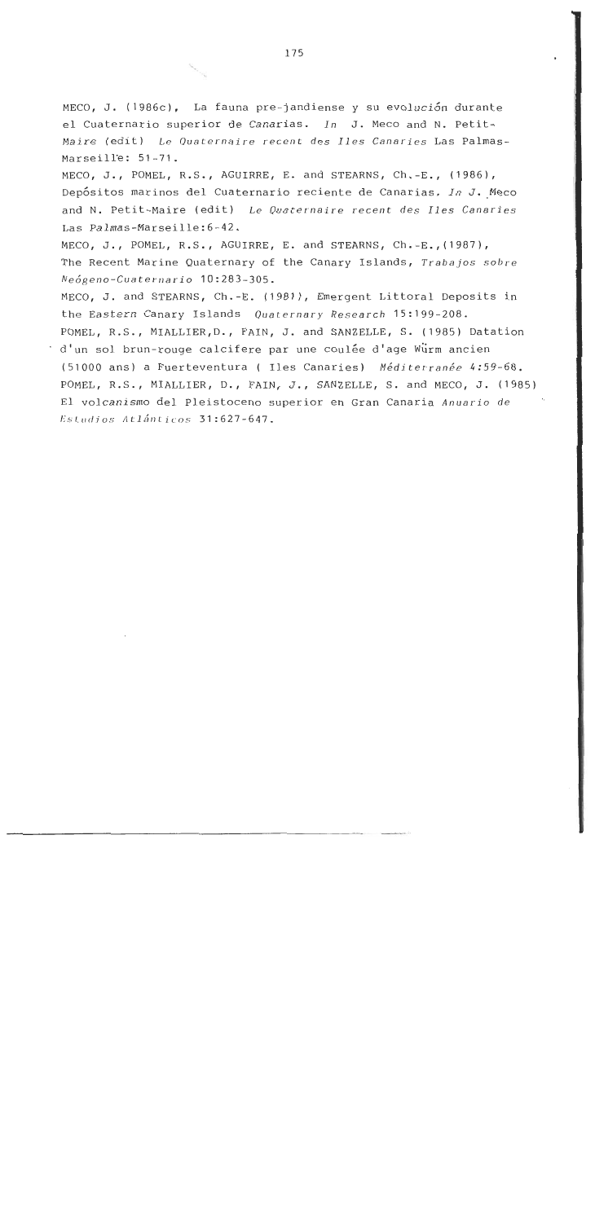MECO, J. (1986c), La fauna pre-jandiense y su evolución durante el Cuaternario superior de Canarias. *In* J. Meco and N. Petit-Maire (edit) Le *Ouaternaire recent des Iles Canaries* Las Palmas-Marseille: 51-71.

MECO, J., POMEL, R.S., AGUIRRE, E. and STEARNS, Ch.-E., (1986), ~epósitos marinos del Cuaternario reciente de Canarias. *In* J. Meco and N. Petit-Maire (edit) Le *Ouaternaire recent des Iles Canaries*  Las Palmas-Marseille:6-42.

MECO, J., POMEL, R.S., AGUIRRE, E. and STEARNS, Ch.-E.,(1987), The Recent Marine Quaternary of the Canary Islands, *Trabajos sobre Neógeno-Cuaternario* 10:283-305.

MECO, J. and STEARNS, Ch.-E. (1981), Emergent Littoral Deposits in the Eastern Canary Islands *Quaternary Research* 15:199-208. POMEL, R.S., MIALLIER,D., FAIN, J. and SANZELLE, S. (1985) Datation d'un sol brun-rouge calcifere par une coulée d'age Würm ancien (51000 ans) a Fuerteventura ( Iles Canaries) *Médjterranée* 4:59-68. POMEL, R.S., MIALLIER, D., FAIN, J., SANZELLE, S. and MECO, J. (1985) El volcanismo del Pleistoceno superior en Gran Canaria *Anuario de*  Rs/,iitlios **AL~~IIL icos** 31 :627-647.

175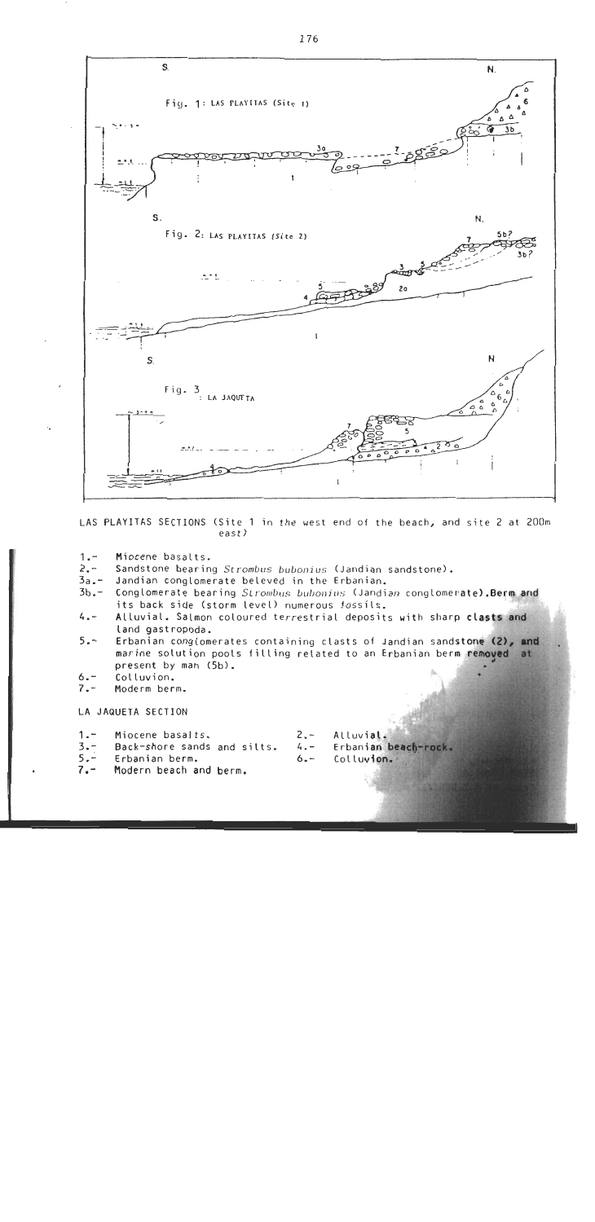

LAS PLAYITAS SECTIONS (Site 1 in the west end of the beach, and site 2 at 200m east)

- $1 -$ Miocene basalts.
- $2 7$ Sandstone bearing *Strombus buboniuc* (Jandian sandstone).
- $3a -$ Jandian conglomerate beleved in the Erbanian.
- $3b -$ Conglomerate bearing *Strombus bubonius* (Jandian conglomerate). Berm and its back side (storm level) numerous fossils.
- $4 -$ Alluvial. Salmon coloured terrestrial deposits with sharp clasts and land gastropoda.
- $5 -$ Erbanian conglomerates containing clasts of Jandian sandstone (2), and marine solution pools filling related to an **<sup>E</sup>** present by man  $(5b)$ .
- $6 -$ Colluvion.
- $7. -$ Moderm berm.

LA JAQUETA SECTION

- 
- 1.- Miocene basalts.<br>3.- Back-shore sands and silts. 4.- Erbanian beach-rock. 3.- Back-shore sands and silts. 4.-<br>5.- Erbanian berm. *6.-*<br>7.- Modern beach and berm.
- 
- Modern beach and berm.
- 
- - Colluvion.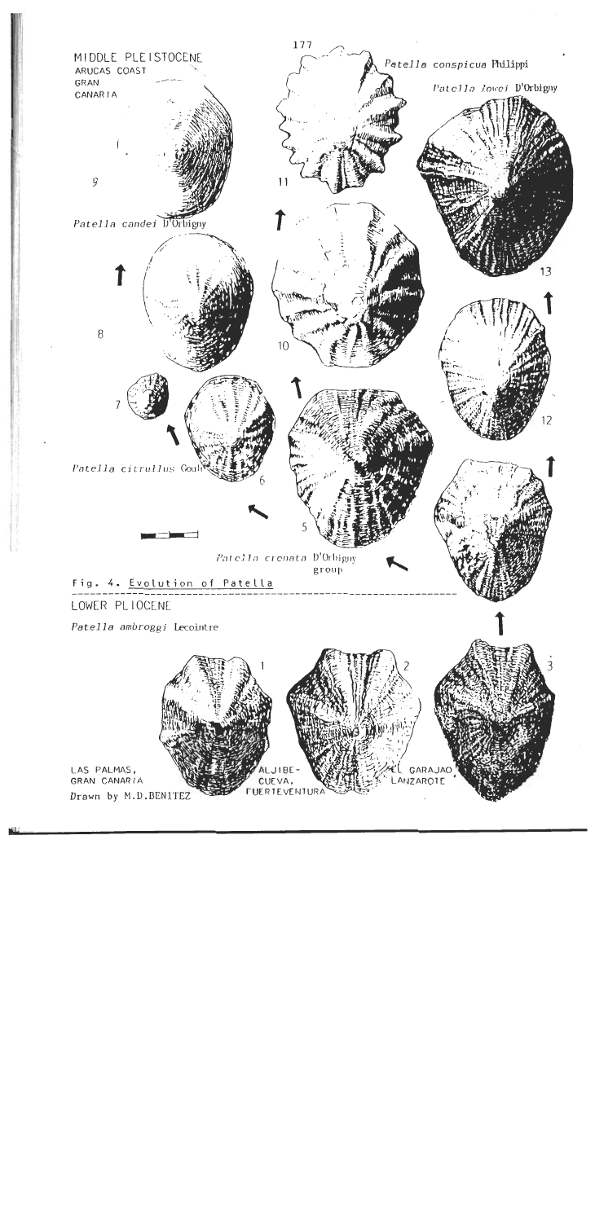